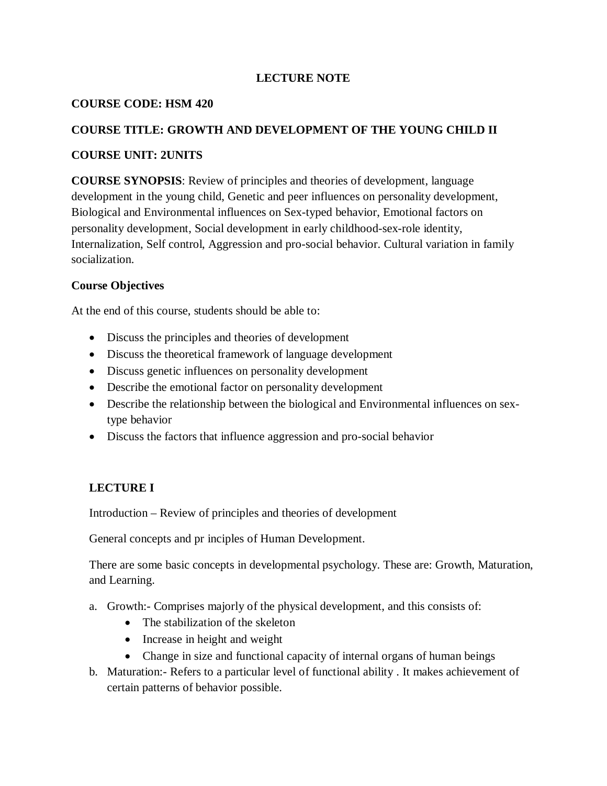### **LECTURE NOTE**

### **COURSE CODE: HSM 420**

### **COURSE TITLE: GROWTH AND DEVELOPMENT OF THE YOUNG CHILD II**

### **COURSE UNIT: 2UNITS**

**COURSE SYNOPSIS**: Review of principles and theories of development, language development in the young child, Genetic and peer influences on personality development, Biological and Environmental influences on Sex-typed behavior, Emotional factors on personality development, Social development in early childhood-sex-role identity, Internalization, Self control, Aggression and pro-social behavior. Cultural variation in family socialization.

### **Course Objectives**

At the end of this course, students should be able to:

- Discuss the principles and theories of development
- Discuss the theoretical framework of language development
- Discuss genetic influences on personality development
- Describe the emotional factor on personality development
- Describe the relationship between the biological and Environmental influences on sextype behavior
- Discuss the factors that influence aggression and pro-social behavior

## **LECTURE I**

Introduction – Review of principles and theories of development

General concepts and pr inciples of Human Development.

There are some basic concepts in developmental psychology. These are: Growth, Maturation, and Learning.

- a. Growth:- Comprises majorly of the physical development, and this consists of:
	- The stabilization of the skeleton
	- Increase in height and weight
	- Change in size and functional capacity of internal organs of human beings
- b. Maturation:- Refers to a particular level of functional ability . It makes achievement of certain patterns of behavior possible.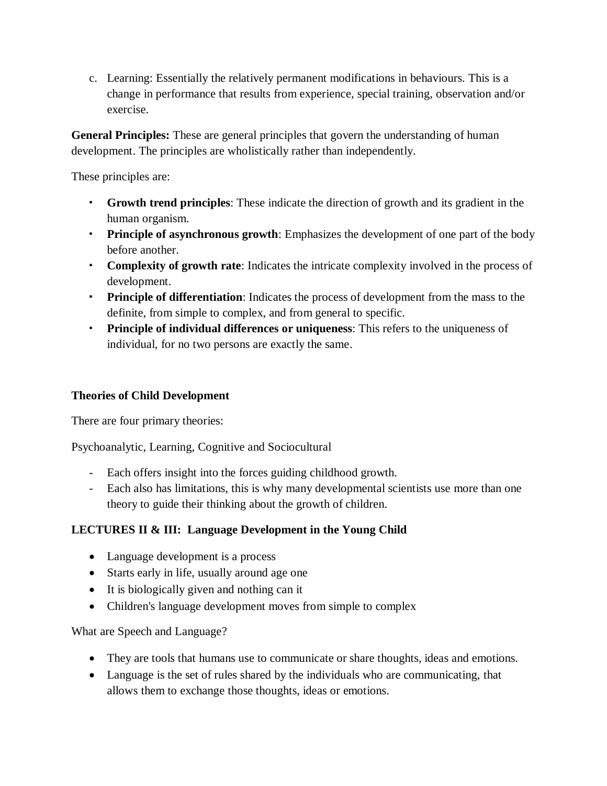c. Learning: Essentially the relatively permanent modifications in behaviours. This is a change in performance that results from experience, special training, observation and/or exercise.

**General Principles:** These are general principles that govern the understanding of human development. The principles are wholistically rather than independently.

These principles are:

- **Growth trend principles**: These indicate the direction of growth and its gradient in the human organism.
- **Principle of asynchronous growth**: Emphasizes the development of one part of the body before another.
- **Complexity of growth rate**: Indicates the intricate complexity involved in the process of development.
- **Principle of differentiation**: Indicates the process of development from the mass to the definite, from simple to complex, and from general to specific.
- **Principle of individual differences or uniqueness**: This refers to the uniqueness of individual, for no two persons are exactly the same.

## **Theories of Child Development**

There are four primary theories:

Psychoanalytic, Learning, Cognitive and Sociocultural

- Each offers insight into the forces guiding childhood growth.
- Each also has limitations, this is why many developmental scientists use more than one theory to guide their thinking about the growth of children.

# **LECTURES II & III: Language Development in the Young Child**

- Language development is a process
- Starts early in life, usually around age one
- It is biologically given and nothing can it
- Children's language development moves from simple to complex

What are Speech and Language?

- They are tools that humans use to communicate or share thoughts, ideas and emotions.
- Language is the set of rules shared by the individuals who are communicating, that allows them to exchange those thoughts, ideas or emotions.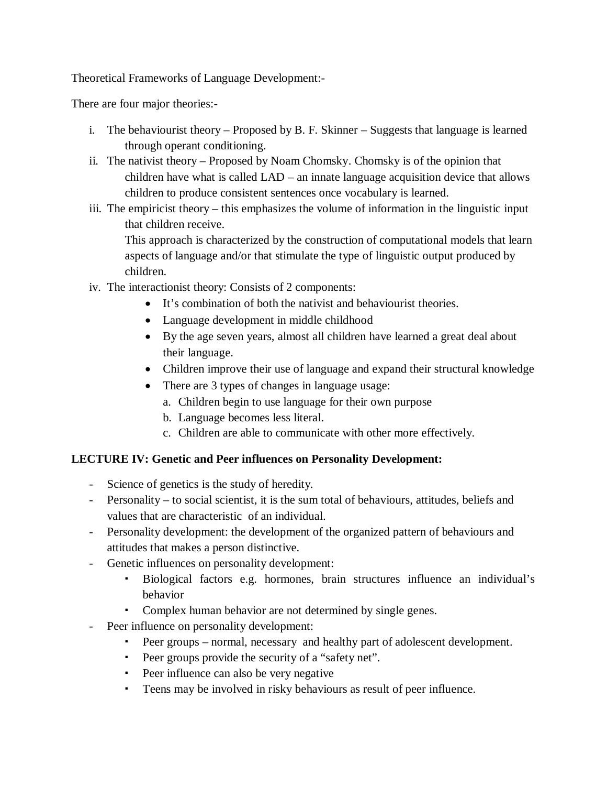Theoretical Frameworks of Language Development:-

There are four major theories:-

- i. The behaviourist theory Proposed by B. F. Skinner Suggests that language is learned through operant conditioning.
- ii. The nativist theory Proposed by Noam Chomsky. Chomsky is of the opinion that children have what is called LAD – an innate language acquisition device that allows children to produce consistent sentences once vocabulary is learned.
- iii. The empiricist theory this emphasizes the volume of information in the linguistic input that children receive.

This approach is characterized by the construction of computational models that learn aspects of language and/or that stimulate the type of linguistic output produced by children.

- iv. The interactionist theory: Consists of 2 components:
	- It's combination of both the nativist and behaviourist theories.
	- Language development in middle childhood
	- By the age seven years, almost all children have learned a great deal about their language.
	- Children improve their use of language and expand their structural knowledge
	- There are 3 types of changes in language usage:
		- a. Children begin to use language for their own purpose
		- b. Language becomes less literal.
		- c. Children are able to communicate with other more effectively.

# **LECTURE IV: Genetic and Peer influences on Personality Development:**

- Science of genetics is the study of heredity.
- Personality to social scientist, it is the sum total of behaviours, attitudes, beliefs and values that are characteristic of an individual.
- Personality development: the development of the organized pattern of behaviours and attitudes that makes a person distinctive.
- Genetic influences on personality development:
	- Biological factors e.g. hormones, brain structures influence an individual's behavior
	- Complex human behavior are not determined by single genes.
- Peer influence on personality development:
	- Peer groups normal, necessary and healthy part of adolescent development.
	- Peer groups provide the security of a "safety net".
	- Peer influence can also be very negative
	- Teens may be involved in risky behaviours as result of peer influence.